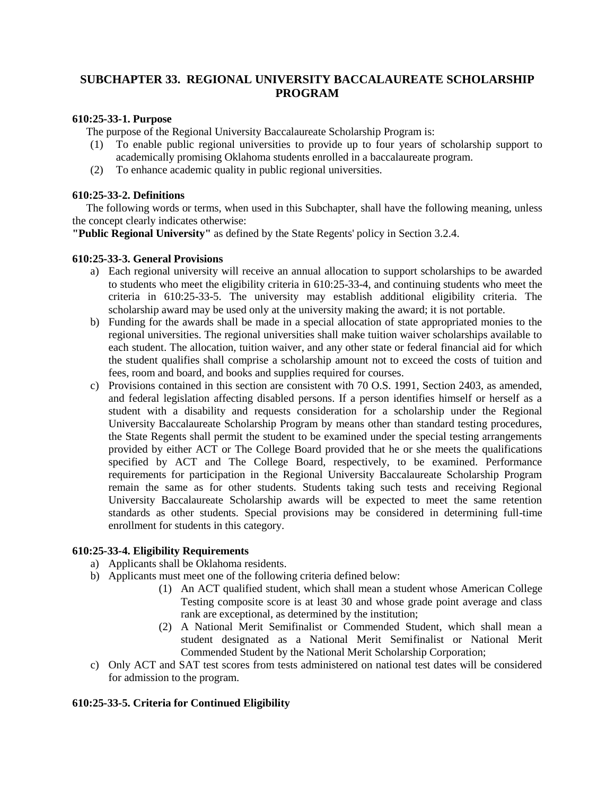# **SUBCHAPTER 33. REGIONAL UNIVERSITY BACCALAUREATE SCHOLARSHIP PROGRAM**

## **610:25-33-1. Purpose**

The purpose of the Regional University Baccalaureate Scholarship Program is:

- (1) To enable public regional universities to provide up to four years of scholarship support to academically promising Oklahoma students enrolled in a baccalaureate program.
- (2) To enhance academic quality in public regional universities.

### **610:25-33-2. Definitions**

 The following words or terms, when used in this Subchapter, shall have the following meaning, unless the concept clearly indicates otherwise:

**"Public Regional University"** as defined by the State Regents' policy in Section 3.2.4.

#### **610:25-33-3. General Provisions**

- a) Each regional university will receive an annual allocation to support scholarships to be awarded to students who meet the eligibility criteria in 610:25-33-4, and continuing students who meet the criteria in 610:25-33-5. The university may establish additional eligibility criteria. The scholarship award may be used only at the university making the award; it is not portable.
- b) Funding for the awards shall be made in a special allocation of state appropriated monies to the regional universities. The regional universities shall make tuition waiver scholarships available to each student. The allocation, tuition waiver, and any other state or federal financial aid for which the student qualifies shall comprise a scholarship amount not to exceed the costs of tuition and fees, room and board, and books and supplies required for courses.
- c) Provisions contained in this section are consistent with 70 O.S. 1991, Section 2403, as amended, and federal legislation affecting disabled persons. If a person identifies himself or herself as a student with a disability and requests consideration for a scholarship under the Regional University Baccalaureate Scholarship Program by means other than standard testing procedures, the State Regents shall permit the student to be examined under the special testing arrangements provided by either ACT or The College Board provided that he or she meets the qualifications specified by ACT and The College Board, respectively, to be examined. Performance requirements for participation in the Regional University Baccalaureate Scholarship Program remain the same as for other students. Students taking such tests and receiving Regional University Baccalaureate Scholarship awards will be expected to meet the same retention standards as other students. Special provisions may be considered in determining full-time enrollment for students in this category.

## **610:25-33-4. Eligibility Requirements**

- a) Applicants shall be Oklahoma residents.
- b) Applicants must meet one of the following criteria defined below:
	- (1) An ACT qualified student, which shall mean a student whose American College Testing composite score is at least 30 and whose grade point average and class rank are exceptional, as determined by the institution;
	- (2) A National Merit Semifinalist or Commended Student, which shall mean a student designated as a National Merit Semifinalist or National Merit Commended Student by the National Merit Scholarship Corporation;
- c) Only ACT and SAT test scores from tests administered on national test dates will be considered for admission to the program.

## **610:25-33-5. Criteria for Continued Eligibility**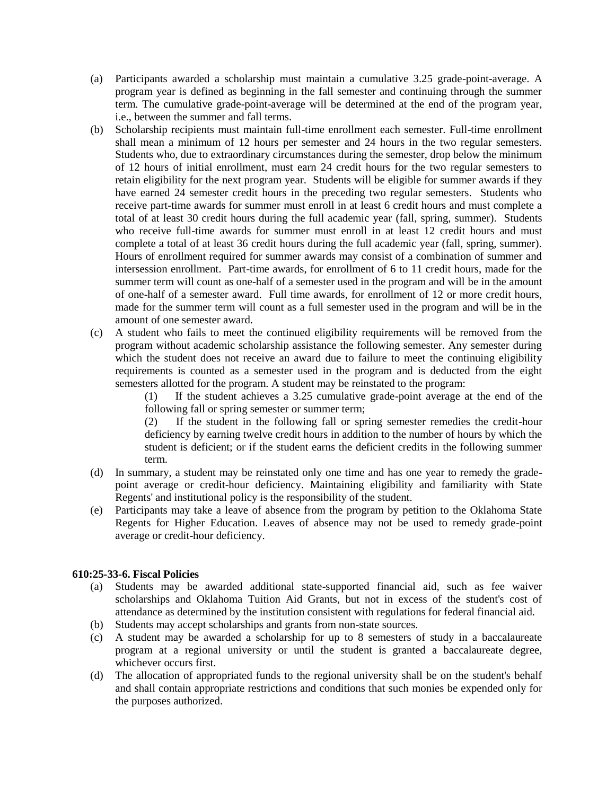- (a) Participants awarded a scholarship must maintain a cumulative 3.25 grade-point-average. A program year is defined as beginning in the fall semester and continuing through the summer term. The cumulative grade-point-average will be determined at the end of the program year, i.e., between the summer and fall terms.
- (b) Scholarship recipients must maintain full-time enrollment each semester. Full-time enrollment shall mean a minimum of 12 hours per semester and 24 hours in the two regular semesters. Students who, due to extraordinary circumstances during the semester, drop below the minimum of 12 hours of initial enrollment, must earn 24 credit hours for the two regular semesters to retain eligibility for the next program year. Students will be eligible for summer awards if they have earned 24 semester credit hours in the preceding two regular semesters. Students who receive part-time awards for summer must enroll in at least 6 credit hours and must complete a total of at least 30 credit hours during the full academic year (fall, spring, summer). Students who receive full-time awards for summer must enroll in at least 12 credit hours and must complete a total of at least 36 credit hours during the full academic year (fall, spring, summer). Hours of enrollment required for summer awards may consist of a combination of summer and intersession enrollment. Part-time awards, for enrollment of 6 to 11 credit hours, made for the summer term will count as one-half of a semester used in the program and will be in the amount of one-half of a semester award. Full time awards, for enrollment of 12 or more credit hours, made for the summer term will count as a full semester used in the program and will be in the amount of one semester award.
- (c) A student who fails to meet the continued eligibility requirements will be removed from the program without academic scholarship assistance the following semester. Any semester during which the student does not receive an award due to failure to meet the continuing eligibility requirements is counted as a semester used in the program and is deducted from the eight semesters allotted for the program. A student may be reinstated to the program:

(1) If the student achieves a 3.25 cumulative grade-point average at the end of the following fall or spring semester or summer term;

(2) If the student in the following fall or spring semester remedies the credit-hour deficiency by earning twelve credit hours in addition to the number of hours by which the student is deficient; or if the student earns the deficient credits in the following summer term.

- (d) In summary, a student may be reinstated only one time and has one year to remedy the gradepoint average or credit-hour deficiency. Maintaining eligibility and familiarity with State Regents' and institutional policy is the responsibility of the student.
- (e) Participants may take a leave of absence from the program by petition to the Oklahoma State Regents for Higher Education. Leaves of absence may not be used to remedy grade-point average or credit-hour deficiency.

## **610:25-33-6. Fiscal Policies**

- (a) Students may be awarded additional state-supported financial aid, such as fee waiver scholarships and Oklahoma Tuition Aid Grants, but not in excess of the student's cost of attendance as determined by the institution consistent with regulations for federal financial aid.
- (b) Students may accept scholarships and grants from non-state sources.
- (c) A student may be awarded a scholarship for up to 8 semesters of study in a baccalaureate program at a regional university or until the student is granted a baccalaureate degree, whichever occurs first.
- (d) The allocation of appropriated funds to the regional university shall be on the student's behalf and shall contain appropriate restrictions and conditions that such monies be expended only for the purposes authorized.